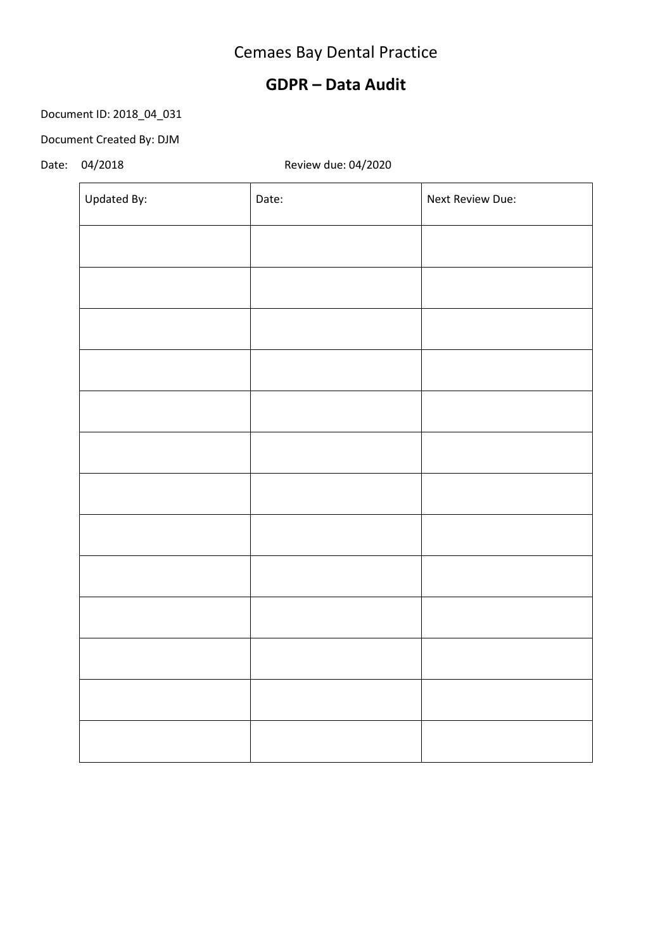# Cemaes Bay Dental Practice

### **GDPR – Data Audit**

### Document ID: 2018\_04\_031

#### Document Created By: DJM

### Date: 04/2018 Review due: 04/2020

| Updated By: | Date: | Next Review Due: |
|-------------|-------|------------------|
|             |       |                  |
|             |       |                  |
|             |       |                  |
|             |       |                  |
|             |       |                  |
|             |       |                  |
|             |       |                  |
|             |       |                  |
|             |       |                  |
|             |       |                  |
|             |       |                  |
|             |       |                  |
|             |       |                  |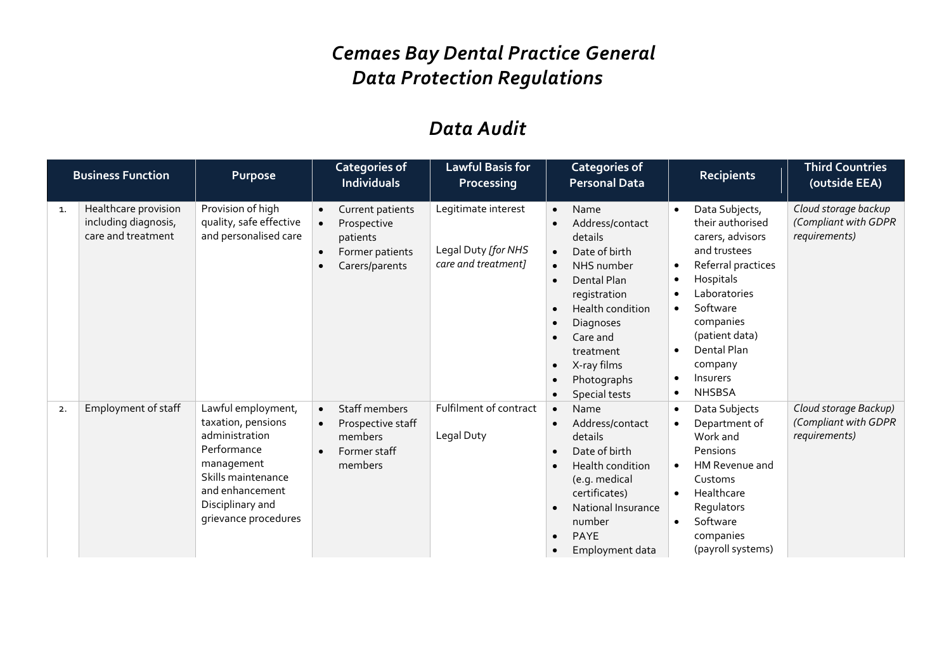# *Cemaes Bay Dental Practice General Data Protection Regulations*

## *Data Audit*

|    | <b>Business Function</b>                                           | Purpose                                                                                                                                                                      | <b>Categories of</b><br><b>Individuals</b>                                                                                           | Lawful Basis for<br>Processing                                    | <b>Categories of</b><br><b>Personal Data</b>                                                                                                                                                                                                                                                                      | <b>Recipients</b>                                                                                                                                                                                                                             | <b>Third Countries</b><br>(outside EEA)                        |
|----|--------------------------------------------------------------------|------------------------------------------------------------------------------------------------------------------------------------------------------------------------------|--------------------------------------------------------------------------------------------------------------------------------------|-------------------------------------------------------------------|-------------------------------------------------------------------------------------------------------------------------------------------------------------------------------------------------------------------------------------------------------------------------------------------------------------------|-----------------------------------------------------------------------------------------------------------------------------------------------------------------------------------------------------------------------------------------------|----------------------------------------------------------------|
| 1. | Healthcare provision<br>including diagnosis,<br>care and treatment | Provision of high<br>quality, safe effective<br>and personalised care                                                                                                        | Current patients<br>$\bullet$<br>Prospective<br>$\bullet$<br>patients<br>Former patients<br>$\bullet$<br>Carers/parents<br>$\bullet$ | Legitimate interest<br>Legal Duty [for NHS<br>care and treatment] | Name<br>$\bullet$<br>Address/contact<br>$\bullet$<br>details<br>Date of birth<br>$\bullet$<br>NHS number<br>$\bullet$<br>Dental Plan<br>$\bullet$<br>registration<br>Health condition<br>Diagnoses<br>Care and<br>$\bullet$<br>treatment<br>X-ray films<br>$\bullet$<br>Photographs<br>$\bullet$<br>Special tests | Data Subjects,<br>$\bullet$<br>their authorised<br>carers, advisors<br>and trustees<br>Referral practices<br>Hospitals<br>٠<br>Laboratories<br>Software<br>companies<br>(patient data)<br>Dental Plan<br>company<br>Insurers<br><b>NHSBSA</b> | Cloud storage backup<br>(Compliant with GDPR<br>requirements)  |
| 2. | Employment of staff                                                | Lawful employment,<br>taxation, pensions<br>administration<br>Performance<br>management<br>Skills maintenance<br>and enhancement<br>Disciplinary and<br>grievance procedures | Staff members<br>$\bullet$<br>Prospective staff<br>$\bullet$<br>members<br>Former staff<br>$\bullet$<br>members                      | Fulfilment of contract<br>Legal Duty                              | Name<br>$\bullet$<br>Address/contact<br>$\bullet$<br>details<br>Date of birth<br>$\bullet$<br>Health condition<br>$\bullet$<br>(e.g. medical<br>certificates)<br>National Insurance<br>$\bullet$<br>number<br><b>PAYE</b><br>$\bullet$<br>Employment data<br>$\bullet$                                            | Data Subjects<br>Department of<br>Work and<br>Pensions<br>HM Revenue and<br>$\bullet$<br>Customs<br>Healthcare<br>$\bullet$<br>Regulators<br>Software<br>$\bullet$<br>companies<br>(payroll systems)                                          | Cloud storage Backup)<br>(Compliant with GDPR<br>requirements) |